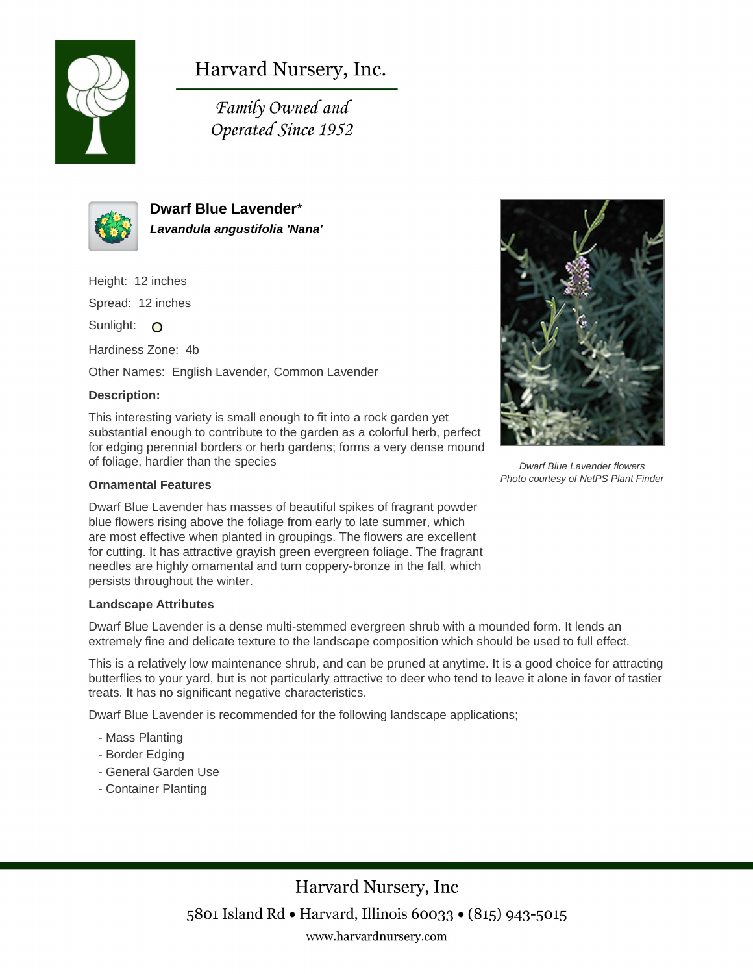

# Harvard Nursery, Inc.

Family Owned and Operated Since 1952



**Dwarf Blue Lavender**\* **Lavandula angustifolia 'Nana'**

Height: 12 inches

Spread: 12 inches

Sunlight: O

Hardiness Zone: 4b

Other Names: English Lavender, Common Lavender

## **Description:**

This interesting variety is small enough to fit into a rock garden yet substantial enough to contribute to the garden as a colorful herb, perfect for edging perennial borders or herb gardens; forms a very dense mound of foliage, hardier than the species

### **Ornamental Features**

Dwarf Blue Lavender has masses of beautiful spikes of fragrant powder blue flowers rising above the foliage from early to late summer, which are most effective when planted in groupings. The flowers are excellent for cutting. It has attractive grayish green evergreen foliage. The fragrant needles are highly ornamental and turn coppery-bronze in the fall, which persists throughout the winter.

#### **Landscape Attributes**

Dwarf Blue Lavender is a dense multi-stemmed evergreen shrub with a mounded form. It lends an extremely fine and delicate texture to the landscape composition which should be used to full effect.

This is a relatively low maintenance shrub, and can be pruned at anytime. It is a good choice for attracting butterflies to your yard, but is not particularly attractive to deer who tend to leave it alone in favor of tastier treats. It has no significant negative characteristics.

Dwarf Blue Lavender is recommended for the following landscape applications;

- Mass Planting
- Border Edging
- General Garden Use
- Container Planting



Dwarf Blue Lavender flowers Photo courtesy of NetPS Plant Finder

Harvard Nursery, Inc 5801 Island Rd • Harvard, Illinois 60033 • (815) 943-5015 www.harvardnursery.com